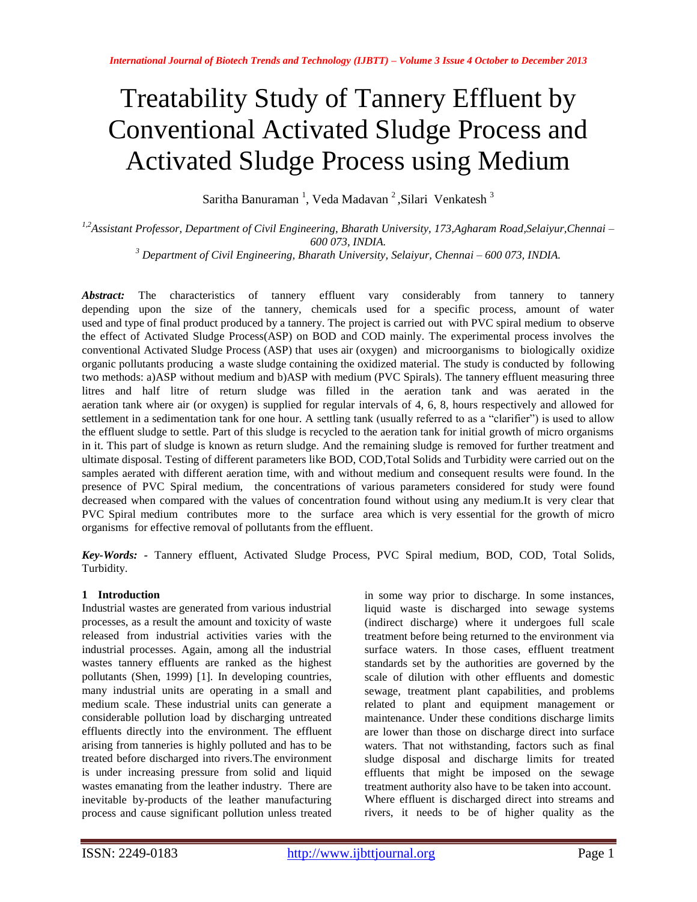# Treatability Study of Tannery Effluent by Conventional Activated Sludge Process and Activated Sludge Process using Medium

Saritha Banuraman<sup>1</sup>, Veda Madavan<sup>2</sup>, Silari Venkatesh<sup>3</sup>

*1,2Assistant Professor, Department of Civil Engineering, Bharath University, 173,Agharam Road,Selaiyur,Chennai – 600 073, INDIA.* 

*<sup>3</sup> Department of Civil Engineering, Bharath University, Selaiyur, Chennai – 600 073, INDIA.*

Abstract: The characteristics of tannery effluent vary considerably from tannery to tannery depending upon the size of the tannery, chemicals used for a specific process, amount of water used and type of final product produced by a tannery. The project is carried out with PVC spiral medium to observe the effect of Activated Sludge Process(ASP) on BOD and COD mainly. The experimental process involves the conventional Activated Sludge Process (ASP) that uses air (oxygen) and microorganisms to biologically oxidize organic pollutants producing a waste sludge containing the oxidized material. The study is conducted by following two methods: a)ASP without medium and b)ASP with medium (PVC Spirals). The tannery effluent measuring three litres and half litre of return sludge was filled in the aeration tank and was aerated in the aeration tank where air (or oxygen) is supplied for regular intervals of 4, 6, 8, hours respectively and allowed for settlement in a sedimentation tank for one hour. A settling tank (usually referred to as a "clarifier") is used to allow the effluent sludge to settle. Part of this sludge is recycled to the aeration tank for initial growth of micro organisms in it. This part of sludge is known as return sludge. And the remaining sludge is removed for further treatment and ultimate disposal. Testing of different parameters like BOD, COD,Total Solids and Turbidity were carried out on the samples aerated with different aeration time, with and without medium and consequent results were found. In the presence of PVC Spiral medium, the concentrations of various parameters considered for study were found decreased when compared with the values of concentration found without using any medium.It is very clear that PVC Spiral medium contributes more to the surface area which is very essential for the growth of micro organisms for effective removal of pollutants from the effluent.

*Key-Words: -* Tannery effluent, Activated Sludge Process, PVC Spiral medium, BOD, COD, Total Solids, Turbidity.

# **1 Introduction**

Industrial wastes are generated from various industrial processes, as a result the amount and toxicity of waste released from industrial activities varies with the industrial processes. Again, among all the industrial wastes tannery effluents are ranked as the highest pollutants (Shen, 1999) [1]. In developing countries, many industrial units are operating in a small and medium scale. These industrial units can generate a considerable pollution load by discharging untreated effluents directly into the environment. The effluent arising from tanneries is highly polluted and has to be treated before discharged into rivers.The environment is under increasing pressure from solid and liquid wastes emanating from the leather industry. There are inevitable by-products of the leather manufacturing process and cause significant pollution unless treated

in some way prior to discharge. In some instances, liquid waste is discharged into sewage systems (indirect discharge) where it undergoes full scale treatment before being returned to the environment via surface waters. In those cases, effluent treatment standards set by the authorities are governed by the scale of dilution with other effluents and domestic sewage, treatment plant capabilities, and problems related to plant and equipment management or maintenance. Under these conditions discharge limits are lower than those on discharge direct into surface waters. That not withstanding, factors such as final sludge disposal and discharge limits for treated effluents that might be imposed on the sewage treatment authority also have to be taken into account. Where effluent is discharged direct into streams and rivers, it needs to be of higher quality as the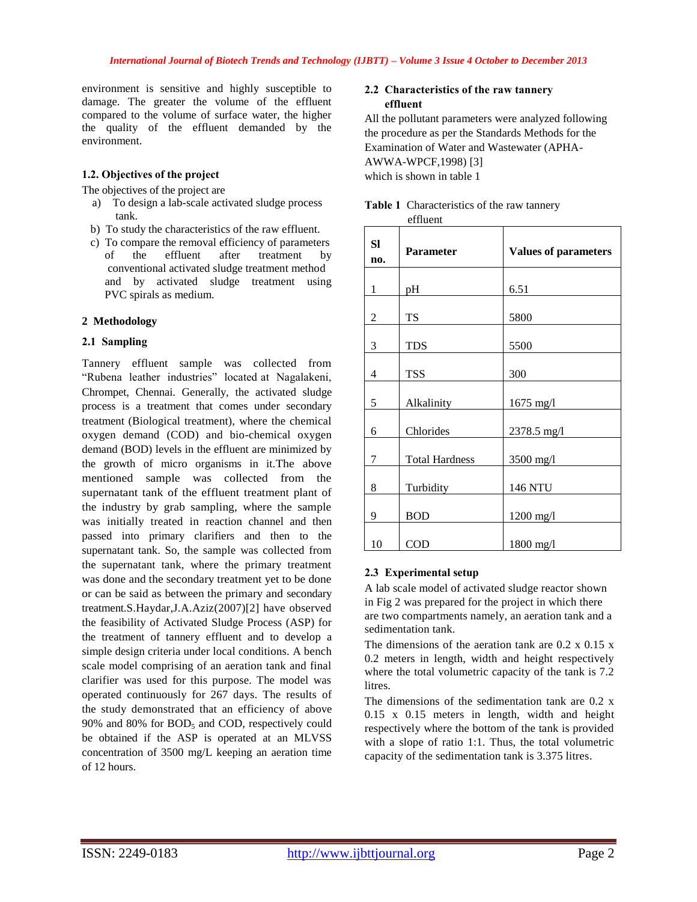environment is sensitive and highly susceptible to damage. The greater the volume of the effluent compared to the volume of surface water, the higher the quality of the effluent demanded by the environment.

## **1.2. Objectives of the project**

The objectives of the project are

- a) To design a lab-scale activated sludge process tank.
- b) To study the characteristics of the raw effluent.
- c) To compare the removal efficiency of parameters of the effluent after treatment by conventional activated sludge treatment method and by activated sludge treatment using PVC spirals as medium.

## **2 Methodology**

## **2.1 Sampling**

Tannery effluent sample was collected from "Rubena leather industries" located at Nagalakeni, Chrompet, Chennai. Generally, the activated sludge process is a treatment that comes under secondary treatment (Biological treatment), where the chemical oxygen demand (COD) and bio-chemical oxygen demand (BOD) levels in the effluent are minimized by the growth of micro organisms in it.The above mentioned sample was collected from the supernatant tank of the effluent treatment plant of the industry by grab sampling, where the sample was initially treated in reaction channel and then passed into primary clarifiers and then to the supernatant tank. So, the sample was collected from the supernatant tank, where the primary treatment was done and the secondary treatment yet to be done or can be said as between the primary and secondary treatment.S.Haydar,J.A.Aziz(2007)[2] have observed the feasibility of Activated Sludge Process (ASP) for the treatment of tannery effluent and to develop a simple design criteria under local conditions. A bench scale model comprising of an aeration tank and final clarifier was used for this purpose. The model was operated continuously for 267 days. The results of the study demonstrated that an efficiency of above 90% and 80% for  $BOD<sub>5</sub>$  and COD, respectively could be obtained if the ASP is operated at an MLVSS concentration of 3500 mg/L keeping an aeration time of 12 hours.

## **2.2 Characteristics of the raw tannery effluent**

All the pollutant parameters were analyzed following the procedure as per the Standards Methods for the Examination of Water and Wastewater (APHA-AWWA-WPCF,1998) [3] which is shown in table 1

| Sl<br>no. | Parameter             | <b>Values of parameters</b> |
|-----------|-----------------------|-----------------------------|
| 1         | pH                    | 6.51                        |
| 2         | TS                    | 5800                        |
| 3         | <b>TDS</b>            | 5500                        |
| 4         | <b>TSS</b>            | 300                         |
| 5         | Alkalinity            | 1675 mg/l                   |
| 6         | Chlorides             | 2378.5 mg/l                 |
| 7         | <b>Total Hardness</b> | 3500 mg/l                   |
| 8         | Turbidity             | 146 NTU                     |
| 9         | <b>BOD</b>            | 1200 mg/l                   |
| 10        | COD                   | 1800 mg/l                   |

#### **Table 1** Characteristics of the raw tannery effluent

## **2.3 Experimental setup**

A lab scale model of activated sludge reactor shown in Fig 2 was prepared for the project in which there are two compartments namely, an aeration tank and a sedimentation tank.

The dimensions of the aeration tank are  $0.2 \times 0.15 \times$ 0.2 meters in length, width and height respectively where the total volumetric capacity of the tank is 7.2 **litres** 

The dimensions of the sedimentation tank are 0.2 x 0.15 x 0.15 meters in length, width and height respectively where the bottom of the tank is provided with a slope of ratio 1:1. Thus, the total volumetric capacity of the sedimentation tank is 3.375 litres.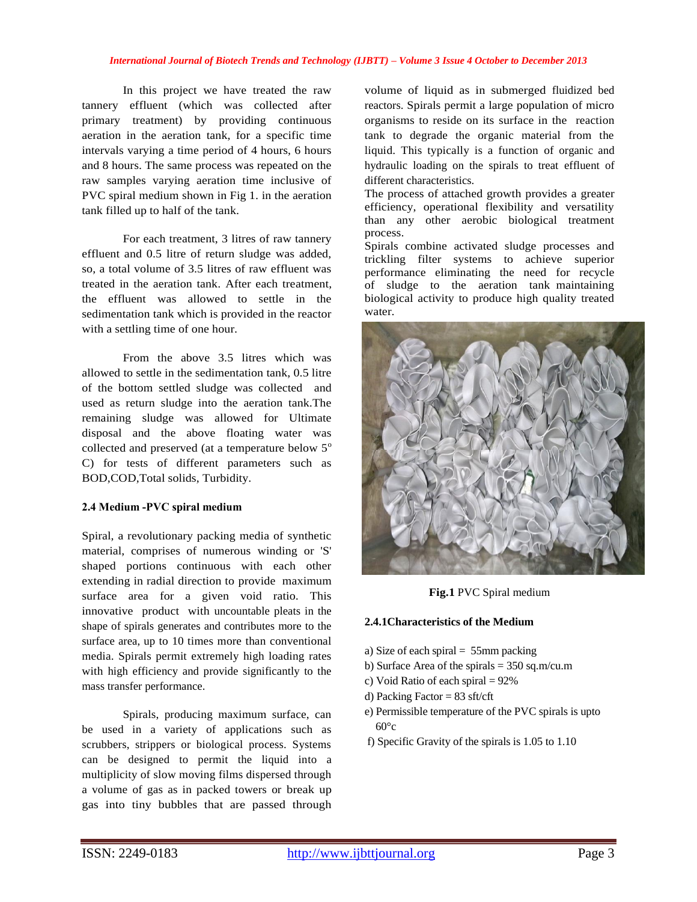#### *International Journal of Biotech Trends and Technology (IJBTT) – Volume 3 Issue 4 October to December 2013*

In this project we have treated the raw tannery effluent (which was collected after primary treatment) by providing continuous aeration in the aeration tank, for a specific time intervals varying a time period of 4 hours, 6 hours and 8 hours. The same process was repeated on the raw samples varying aeration time inclusive of PVC spiral medium shown in Fig 1. in the aeration tank filled up to half of the tank.

For each treatment, 3 litres of raw tannery effluent and 0.5 litre of return sludge was added, so, a total volume of 3.5 litres of raw effluent was treated in the aeration tank. After each treatment, the effluent was allowed to settle in the sedimentation tank which is provided in the reactor with a settling time of one hour.

From the above 3.5 litres which was allowed to settle in the sedimentation tank, 0.5 litre of the bottom settled sludge was collected and used as return sludge into the aeration tank.The remaining sludge was allowed for Ultimate disposal and the above floating water was collected and preserved (at a temperature below  $5^\circ$ C) for tests of different parameters such as BOD,COD,Total solids, Turbidity.

#### **2.4 Medium -PVC spiral medium**

Spiral, a revolutionary packing media of synthetic material, comprises of numerous winding or 'S' shaped portions continuous with each other extending in radial direction to provide maximum surface area for a given void ratio. This innovative product with uncountable pleats in the shape of spirals generates and contributes more to the surface area, up to 10 times more than conventional media. Spirals permit extremely high loading rates with high efficiency and provide significantly to the mass transfer performance.

Spirals, producing maximum surface, can be used in a variety of applications such as scrubbers, strippers or biological process. Systems can be designed to permit the liquid into a multiplicity of slow moving films dispersed through a volume of gas as in packed towers or break up gas into tiny bubbles that are passed through

volume of liquid as in submerged fluidized bed reactors. Spirals permit a large population of micro organisms to reside on its surface in the reaction tank to degrade the organic material from the liquid. This typically is a function of organic and hydraulic loading on the spirals to treat effluent of different characteristics.

The process of attached growth provides a greater efficiency, operational flexibility and versatility than any other aerobic biological treatment process.

Spirals combine activated sludge processes and trickling filter systems to achieve superior performance eliminating the need for recycle of sludge to the aeration tank maintaining biological activity to produce high quality treated water.



**Fig.1** PVC Spiral medium

## **2.4.1Characteristics of the Medium**

- a) Size of each spiral = 55mm packing
- b) Surface Area of the spirals  $= 350$  sq.m/cu.m
- c) Void Ratio of each spiral = 92%
- d) Packing Factor =  $83 \text{ sft/cft}$
- e) Permissible temperature of the PVC spirals is upto  $60^{\circ}c$
- f) Specific Gravity of the spirals is 1.05 to 1.10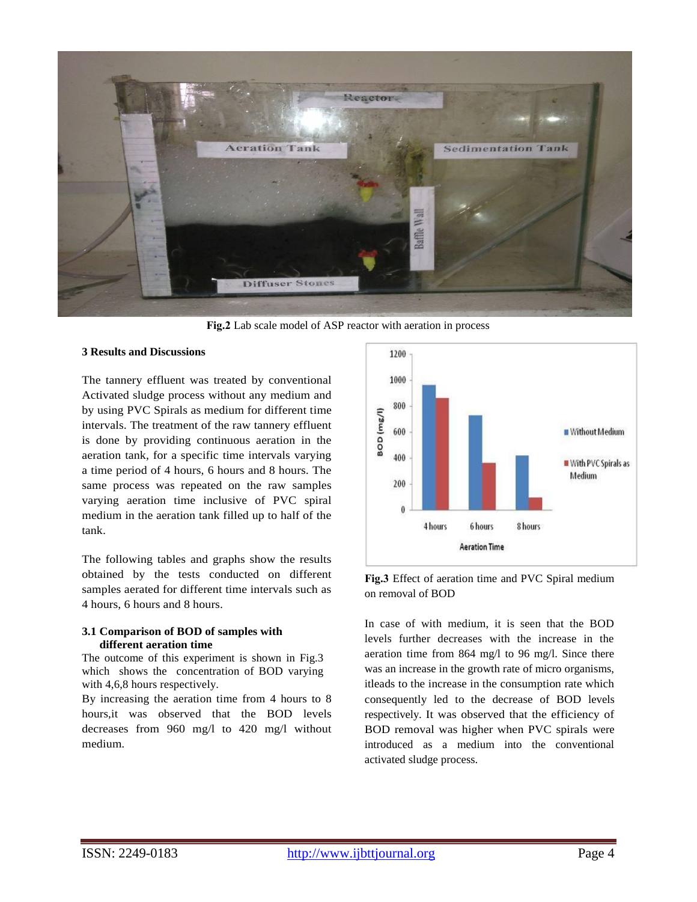

**Fig.2** Lab scale model of ASP reactor with aeration in process

#### **3 Results and Discussions**

The tannery effluent was treated by conventional Activated sludge process without any medium and by using PVC Spirals as medium for different time intervals. The treatment of the raw tannery effluent is done by providing continuous aeration in the aeration tank, for a specific time intervals varying a time period of 4 hours, 6 hours and 8 hours. The same process was repeated on the raw samples varying aeration time inclusive of PVC spiral medium in the aeration tank filled up to half of the tank.

The following tables and graphs show the results obtained by the tests conducted on different samples aerated for different time intervals such as 4 hours, 6 hours and 8 hours.

## **3.1 Comparison of BOD of samples with different aeration time**

The outcome of this experiment is shown in Fig.3 which shows the concentration of BOD varying with 4,6,8 hours respectively.

By increasing the aeration time from 4 hours to 8 hours,it was observed that the BOD levels decreases from 960 mg/l to 420 mg/l without medium.



**Fig.3** Effect of aeration time and PVC Spiral medium on removal of BOD

In case of with medium, it is seen that the BOD levels further decreases with the increase in the aeration time from 864 mg/l to 96 mg/l. Since there was an increase in the growth rate of micro organisms, itleads to the increase in the consumption rate which consequently led to the decrease of BOD levels respectively. It was observed that the efficiency of BOD removal was higher when PVC spirals were introduced as a medium into the conventional activated sludge process.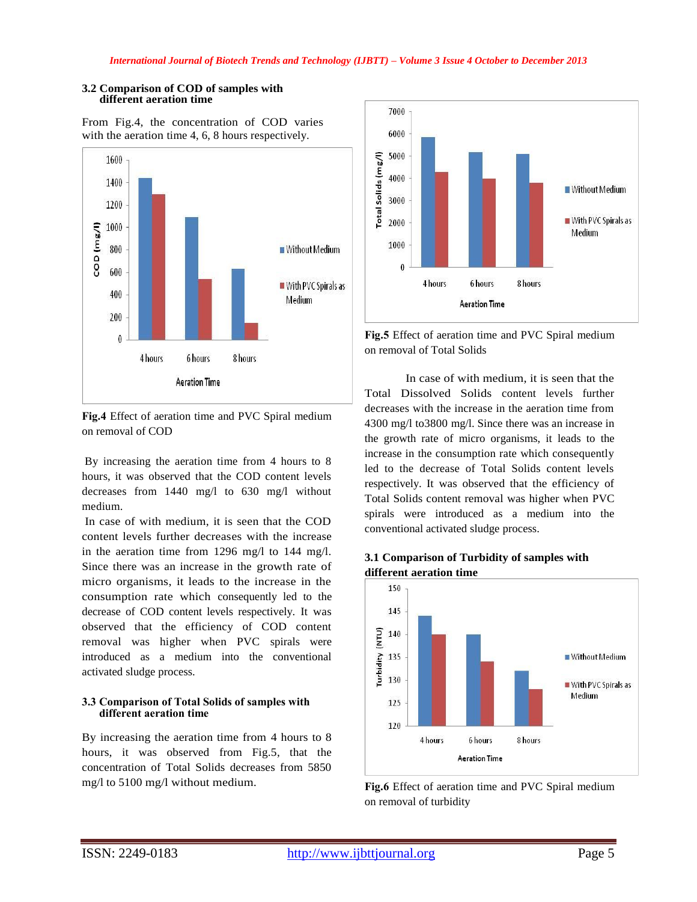## **3.2 Comparison of COD of samples with different aeration time**





**Fig.4** Effect of aeration time and PVC Spiral medium on removal of COD

By increasing the aeration time from 4 hours to 8 hours, it was observed that the COD content levels decreases from 1440 mg/l to 630 mg/l without medium.

In case of with medium, it is seen that the COD content levels further decreases with the increase in the aeration time from 1296 mg/l to 144 mg/l. Since there was an increase in the growth rate of micro organisms, it leads to the increase in the consumption rate which consequently led to the decrease of COD content levels respectively. It was observed that the efficiency of COD content removal was higher when PVC spirals were introduced as a medium into the conventional activated sludge process.

# **3.3 Comparison of Total Solids of samples with different aeration time**

By increasing the aeration time from 4 hours to 8 hours, it was observed from Fig.5, that the concentration of Total Solids decreases from 5850 mg/l to 5100 mg/l without medium.



**Fig.5** Effect of aeration time and PVC Spiral medium on removal of Total Solids

In case of with medium, it is seen that the Total Dissolved Solids content levels further decreases with the increase in the aeration time from 4300 mg/l to3800 mg/l. Since there was an increase in the growth rate of micro organisms, it leads to the increase in the consumption rate which consequently led to the decrease of Total Solids content levels respectively. It was observed that the efficiency of Total Solids content removal was higher when PVC spirals were introduced as a medium into the conventional activated sludge process.





**Fig.6** Effect of aeration time and PVC Spiral medium on removal of turbidity